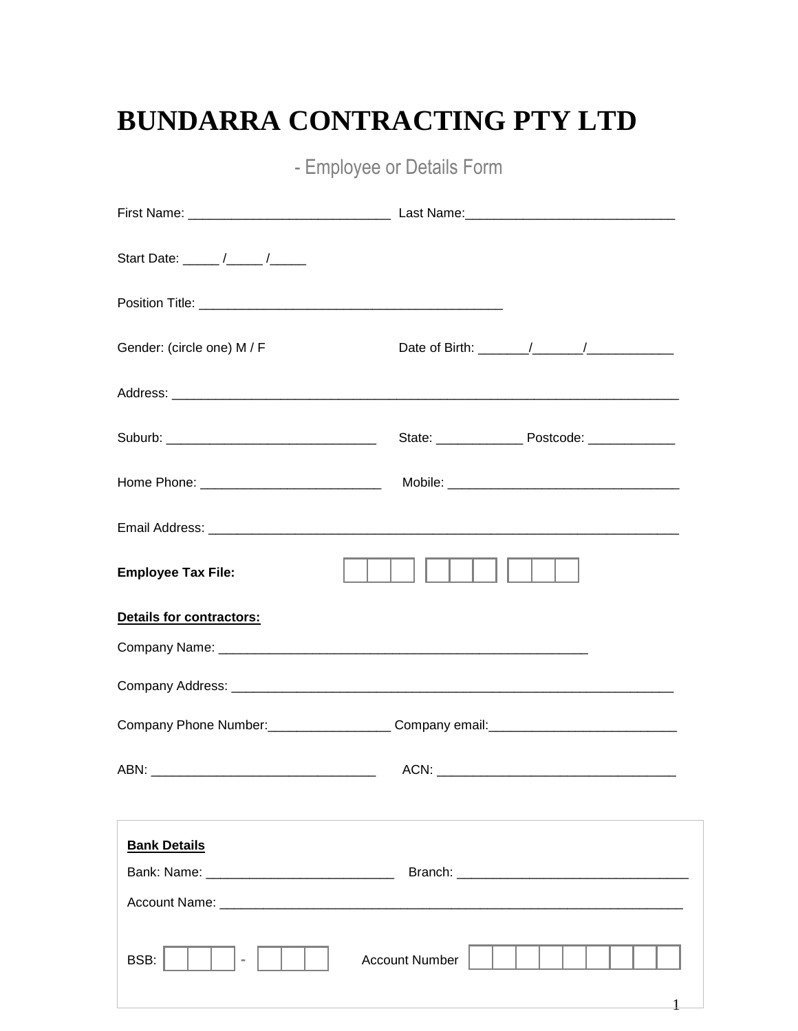## BUNDARRA CONTRACTING PTY LTD

- Employee or Details Form

| Start Date: _____ /_____ /_____ |                       |
|---------------------------------|-----------------------|
|                                 |                       |
| Gender: (circle one) M / F      |                       |
|                                 |                       |
|                                 |                       |
|                                 |                       |
|                                 |                       |
| <b>Employee Tax File:</b>       |                       |
| Details for contractors:        |                       |
|                                 |                       |
|                                 |                       |
|                                 |                       |
|                                 |                       |
| <b>Bank Details</b>             |                       |
|                                 |                       |
|                                 |                       |
| BSB:                            | <b>Account Number</b> |